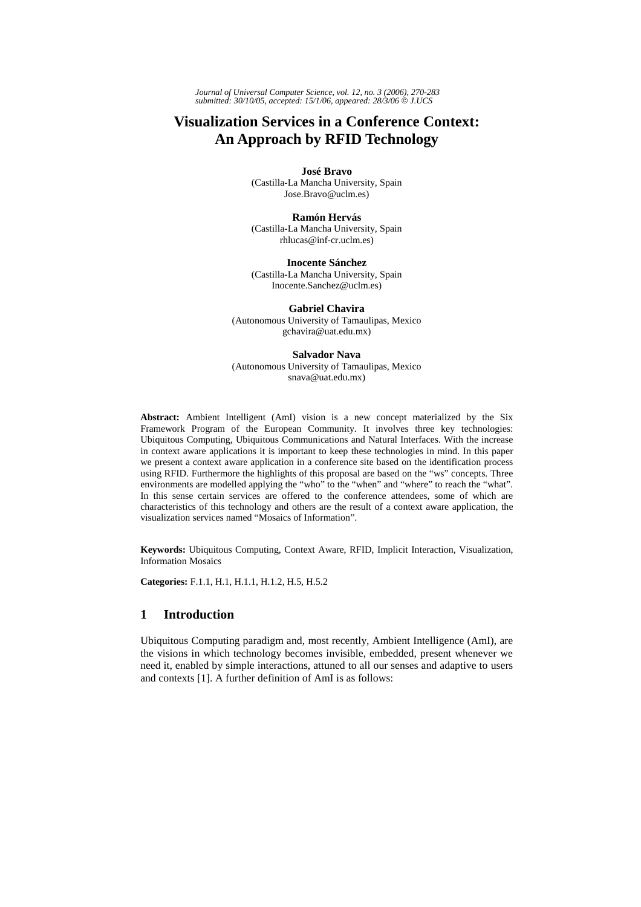*Journal of Universal Computer Science, vol. 12, no. 3 (2006), 270-283 submitted: 30/10/05, accepted: 15/1/06, appeared: 28/3/06* © *J.UCS*

# **Visualization Services in a Conference Context: An Approach by RFID Technology**

**José Bravo**  (Castilla-La Mancha University, Spain Jose.Bravo@uclm.es)

**Ramón Hervás** (Castilla-La Mancha University, Spain rhlucas@inf-cr.uclm.es)

**Inocente Sánchez** (Castilla-La Mancha University, Spain Inocente.Sanchez@uclm.es)

**Gabriel Chavira** (Autonomous University of Tamaulipas, Mexico gchavira@uat.edu.mx)

**Salvador Nava** (Autonomous University of Tamaulipas, Mexico snava@uat.edu.mx)

**Abstract:** Ambient Intelligent (AmI) vision is a new concept materialized by the Six Framework Program of the European Community. It involves three key technologies: Ubiquitous Computing, Ubiquitous Communications and Natural Interfaces. With the increase in context aware applications it is important to keep these technologies in mind. In this paper we present a context aware application in a conference site based on the identification process using RFID. Furthermore the highlights of this proposal are based on the "ws" concepts. Three environments are modelled applying the "who" to the "when" and "where" to reach the "what". In this sense certain services are offered to the conference attendees, some of which are characteristics of this technology and others are the result of a context aware application, the visualization services named "Mosaics of Information".

**Keywords:** Ubiquitous Computing, Context Aware, RFID, Implicit Interaction, Visualization, Information Mosaics

**Categories:** F.1.1, H.1, H.1.1, H.1.2, H.5, H.5.2

# **1 Introduction**

Ubiquitous Computing paradigm and, most recently, Ambient Intelligence (AmI), are the visions in which technology becomes invisible, embedded, present whenever we need it, enabled by simple interactions, attuned to all our senses and adaptive to users and contexts [1]. A further definition of AmI is as follows: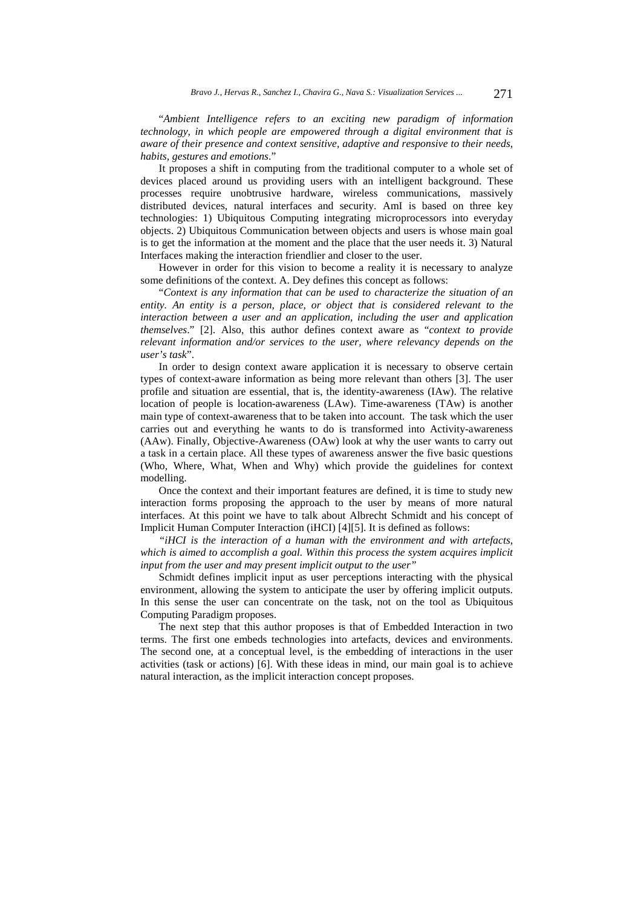"*Ambient Intelligence refers to an exciting new paradigm of information technology, in which people are empowered through a digital environment that is aware of their presence and context sensitive, adaptive and responsive to their needs, habits, gestures and emotions*."

It proposes a shift in computing from the traditional computer to a whole set of devices placed around us providing users with an intelligent background. These processes require unobtrusive hardware, wireless communications, massively distributed devices, natural interfaces and security. AmI is based on three key technologies: 1) Ubiquitous Computing integrating microprocessors into everyday objects. 2) Ubiquitous Communication between objects and users is whose main goal is to get the information at the moment and the place that the user needs it. 3) Natural Interfaces making the interaction friendlier and closer to the user.

However in order for this vision to become a reality it is necessary to analyze some definitions of the context. A. Dey defines this concept as follows:

"*Context is any information that can be used to characterize the situation of an entity. An entity is a person, place, or object that is considered relevant to the interaction between a user and an application, including the user and application themselves*." [2]. Also, this author defines context aware as "*context to provide relevant information and/or services to the user, where relevancy depends on the user's task*".

In order to design context aware application it is necessary to observe certain types of context-aware information as being more relevant than others [3]. The user profile and situation are essential, that is, the identity-awareness (IAw). The relative location of people is location-awareness (LAw). Time-awareness (TAw) is another main type of context-awareness that to be taken into account. The task which the user carries out and everything he wants to do is transformed into Activity-awareness (AAw). Finally, Objective-Awareness (OAw) look at why the user wants to carry out a task in a certain place. All these types of awareness answer the five basic questions (Who, Where, What, When and Why) which provide the guidelines for context modelling.

Once the context and their important features are defined, it is time to study new interaction forms proposing the approach to the user by means of more natural interfaces. At this point we have to talk about Albrecht Schmidt and his concept of Implicit Human Computer Interaction (iHCI) [4][5]. It is defined as follows:

*"iHCI is the interaction of a human with the environment and with artefacts, which is aimed to accomplish a goal. Within this process the system acquires implicit input from the user and may present implicit output to the user"* 

Schmidt defines implicit input as user perceptions interacting with the physical environment, allowing the system to anticipate the user by offering implicit outputs. In this sense the user can concentrate on the task, not on the tool as Ubiquitous Computing Paradigm proposes.

The next step that this author proposes is that of Embedded Interaction in two terms. The first one embeds technologies into artefacts, devices and environments. The second one, at a conceptual level, is the embedding of interactions in the user activities (task or actions) [6]. With these ideas in mind, our main goal is to achieve natural interaction, as the implicit interaction concept proposes.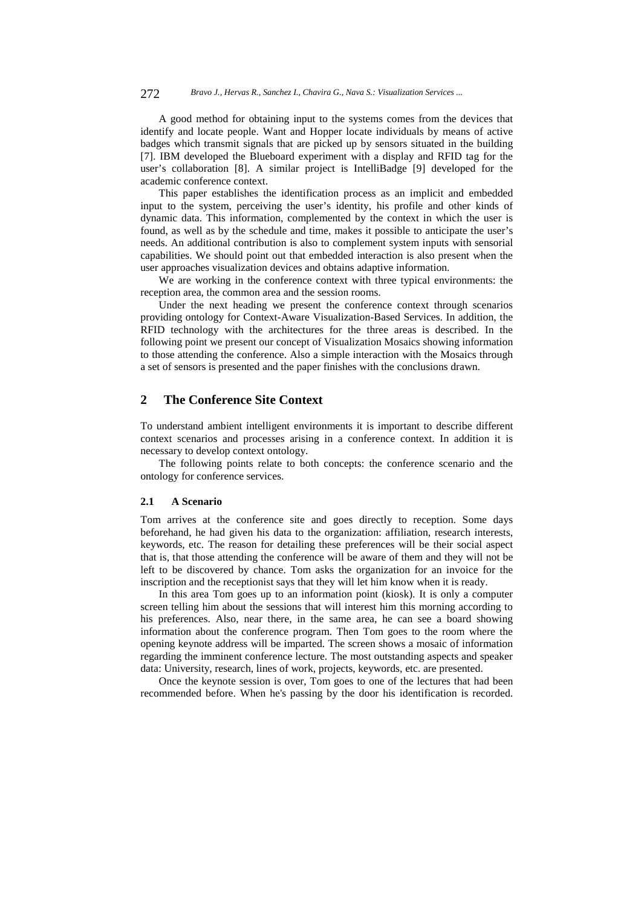272 *Bravo J., Hervas R., Sanchez I., Chavira G., Nava S.: Visualization Services ...*

A good method for obtaining input to the systems comes from the devices that identify and locate people. Want and Hopper locate individuals by means of active badges which transmit signals that are picked up by sensors situated in the building [7]. IBM developed the Blueboard experiment with a display and RFID tag for the user's collaboration [8]. A similar project is IntelliBadge [9] developed for the academic conference context.

This paper establishes the identification process as an implicit and embedded input to the system, perceiving the user's identity, his profile and other kinds of dynamic data. This information, complemented by the context in which the user is found, as well as by the schedule and time, makes it possible to anticipate the user's needs. An additional contribution is also to complement system inputs with sensorial capabilities. We should point out that embedded interaction is also present when the user approaches visualization devices and obtains adaptive information.

We are working in the conference context with three typical environments: the reception area, the common area and the session rooms.

Under the next heading we present the conference context through scenarios providing ontology for Context-Aware Visualization-Based Services. In addition, the RFID technology with the architectures for the three areas is described. In the following point we present our concept of Visualization Mosaics showing information to those attending the conference. Also a simple interaction with the Mosaics through a set of sensors is presented and the paper finishes with the conclusions drawn.

# **2 The Conference Site Context**

To understand ambient intelligent environments it is important to describe different context scenarios and processes arising in a conference context. In addition it is necessary to develop context ontology.

The following points relate to both concepts: the conference scenario and the ontology for conference services.

#### **2.1 A Scenario**

Tom arrives at the conference site and goes directly to reception. Some days beforehand, he had given his data to the organization: affiliation, research interests, keywords, etc. The reason for detailing these preferences will be their social aspect that is, that those attending the conference will be aware of them and they will not be left to be discovered by chance. Tom asks the organization for an invoice for the inscription and the receptionist says that they will let him know when it is ready.

In this area Tom goes up to an information point (kiosk). It is only a computer screen telling him about the sessions that will interest him this morning according to his preferences. Also, near there, in the same area, he can see a board showing information about the conference program. Then Tom goes to the room where the opening keynote address will be imparted. The screen shows a mosaic of information regarding the imminent conference lecture. The most outstanding aspects and speaker data: University, research, lines of work, projects, keywords, etc. are presented.

Once the keynote session is over, Tom goes to one of the lectures that had been recommended before. When he's passing by the door his identification is recorded.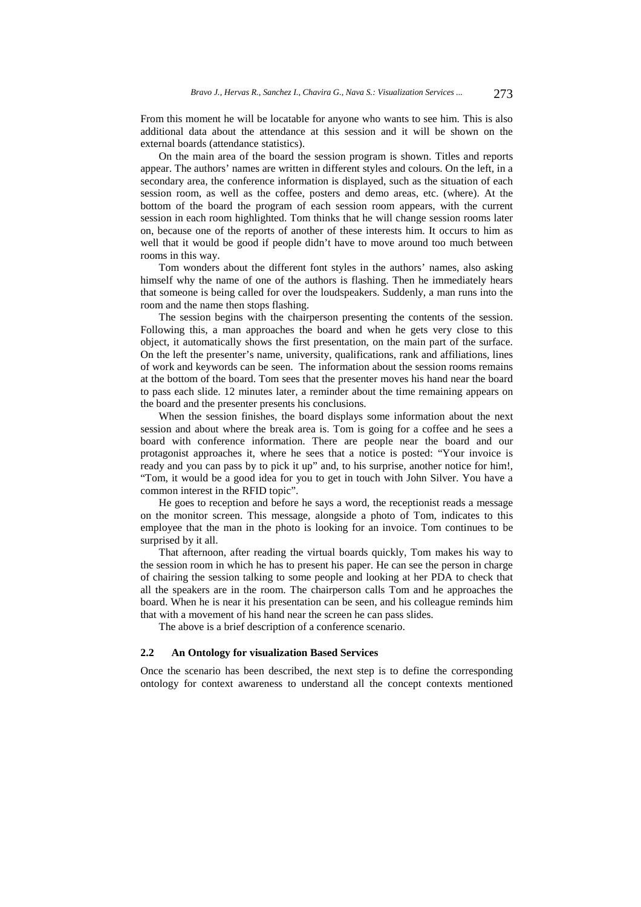From this moment he will be locatable for anyone who wants to see him. This is also additional data about the attendance at this session and it will be shown on the external boards (attendance statistics).

On the main area of the board the session program is shown. Titles and reports appear. The authors' names are written in different styles and colours. On the left, in a secondary area, the conference information is displayed, such as the situation of each session room, as well as the coffee, posters and demo areas, etc. (where). At the bottom of the board the program of each session room appears, with the current session in each room highlighted. Tom thinks that he will change session rooms later on, because one of the reports of another of these interests him. It occurs to him as well that it would be good if people didn't have to move around too much between rooms in this way.

Tom wonders about the different font styles in the authors' names, also asking himself why the name of one of the authors is flashing. Then he immediately hears that someone is being called for over the loudspeakers. Suddenly, a man runs into the room and the name then stops flashing.

The session begins with the chairperson presenting the contents of the session. Following this, a man approaches the board and when he gets very close to this object, it automatically shows the first presentation, on the main part of the surface. On the left the presenter's name, university, qualifications, rank and affiliations, lines of work and keywords can be seen. The information about the session rooms remains at the bottom of the board. Tom sees that the presenter moves his hand near the board to pass each slide. 12 minutes later, a reminder about the time remaining appears on the board and the presenter presents his conclusions.

When the session finishes, the board displays some information about the next session and about where the break area is. Tom is going for a coffee and he sees a board with conference information. There are people near the board and our protagonist approaches it, where he sees that a notice is posted: "Your invoice is ready and you can pass by to pick it up" and, to his surprise, another notice for him!, "Tom, it would be a good idea for you to get in touch with John Silver. You have a common interest in the RFID topic".

He goes to reception and before he says a word, the receptionist reads a message on the monitor screen. This message, alongside a photo of Tom, indicates to this employee that the man in the photo is looking for an invoice. Tom continues to be surprised by it all.

That afternoon, after reading the virtual boards quickly, Tom makes his way to the session room in which he has to present his paper. He can see the person in charge of chairing the session talking to some people and looking at her PDA to check that all the speakers are in the room. The chairperson calls Tom and he approaches the board. When he is near it his presentation can be seen, and his colleague reminds him that with a movement of his hand near the screen he can pass slides.

The above is a brief description of a conference scenario.

#### **2.2 An Ontology for visualization Based Services**

Once the scenario has been described, the next step is to define the corresponding ontology for context awareness to understand all the concept contexts mentioned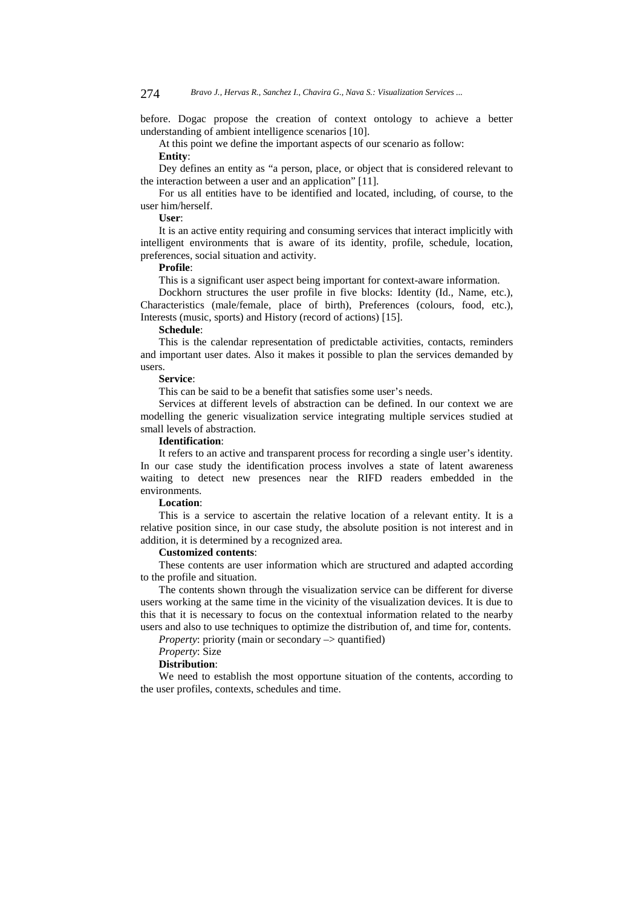before. Dogac propose the creation of context ontology to achieve a better understanding of ambient intelligence scenarios [10].

At this point we define the important aspects of our scenario as follow:

#### **Entity**:

Dey defines an entity as "a person, place, or object that is considered relevant to the interaction between a user and an application" [11].

For us all entities have to be identified and located, including, of course, to the user him/herself.

**User**:

It is an active entity requiring and consuming services that interact implicitly with intelligent environments that is aware of its identity, profile, schedule, location, preferences, social situation and activity.

#### **Profile**:

This is a significant user aspect being important for context-aware information.

Dockhorn structures the user profile in five blocks: Identity (Id., Name, etc.), Characteristics (male/female, place of birth), Preferences (colours, food, etc.), Interests (music, sports) and History (record of actions) [15].

#### **Schedule**:

This is the calendar representation of predictable activities, contacts, reminders and important user dates. Also it makes it possible to plan the services demanded by users.

#### **Service**:

This can be said to be a benefit that satisfies some user's needs.

Services at different levels of abstraction can be defined. In our context we are modelling the generic visualization service integrating multiple services studied at small levels of abstraction.

## **Identification**:

It refers to an active and transparent process for recording a single user's identity. In our case study the identification process involves a state of latent awareness waiting to detect new presences near the RIFD readers embedded in the environments.

# **Location**:

This is a service to ascertain the relative location of a relevant entity. It is a relative position since, in our case study, the absolute position is not interest and in addition, it is determined by a recognized area.

#### **Customized contents**:

These contents are user information which are structured and adapted according to the profile and situation.

The contents shown through the visualization service can be different for diverse users working at the same time in the vicinity of the visualization devices. It is due to this that it is necessary to focus on the contextual information related to the nearby users and also to use techniques to optimize the distribution of, and time for, contents.

*Property:* priority (main or secondary –> quantified)

# *Property*: Size

## **Distribution**:

We need to establish the most opportune situation of the contents, according to the user profiles, contexts, schedules and time.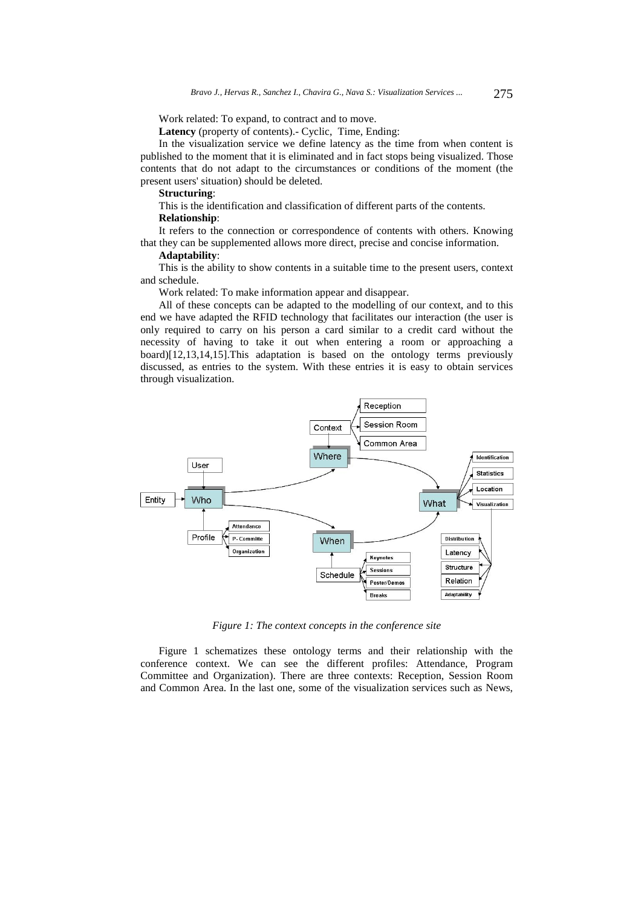Work related: To expand, to contract and to move.

**Latency** (property of contents).- Cyclic, Time, Ending:

In the visualization service we define latency as the time from when content is published to the moment that it is eliminated and in fact stops being visualized. Those contents that do not adapt to the circumstances or conditions of the moment (the present users' situation) should be deleted.

## **Structuring**:

This is the identification and classification of different parts of the contents. **Relationship**:

It refers to the connection or correspondence of contents with others. Knowing that they can be supplemented allows more direct, precise and concise information.

## **Adaptability**:

This is the ability to show contents in a suitable time to the present users, context and schedule.

Work related: To make information appear and disappear.

All of these concepts can be adapted to the modelling of our context, and to this end we have adapted the RFID technology that facilitates our interaction (the user is only required to carry on his person a card similar to a credit card without the necessity of having to take it out when entering a room or approaching a board)[12,13,14,15].This adaptation is based on the ontology terms previously discussed, as entries to the system. With these entries it is easy to obtain services through visualization.



*Figure 1: The context concepts in the conference site* 

Figure 1 schematizes these ontology terms and their relationship with the conference context. We can see the different profiles: Attendance, Program Committee and Organization). There are three contexts: Reception, Session Room and Common Area. In the last one, some of the visualization services such as News,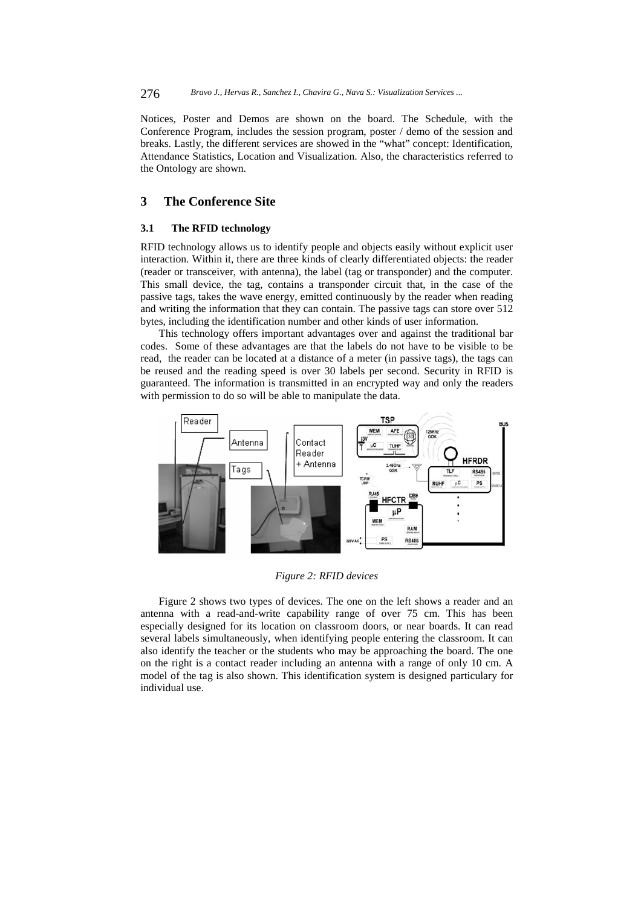Notices, Poster and Demos are shown on the board. The Schedule, with the Conference Program, includes the session program, poster / demo of the session and breaks. Lastly, the different services are showed in the "what" concept: Identification, Attendance Statistics, Location and Visualization. Also, the characteristics referred to the Ontology are shown.

# **3 The Conference Site**

#### **3.1 The RFID technology**

RFID technology allows us to identify people and objects easily without explicit user interaction. Within it, there are three kinds of clearly differentiated objects: the reader (reader or transceiver, with antenna), the label (tag or transponder) and the computer. This small device, the tag, contains a transponder circuit that, in the case of the passive tags, takes the wave energy, emitted continuously by the reader when reading and writing the information that they can contain. The passive tags can store over 512 bytes, including the identification number and other kinds of user information.

This technology offers important advantages over and against the traditional bar codes. Some of these advantages are that the labels do not have to be visible to be read, the reader can be located at a distance of a meter (in passive tags), the tags can be reused and the reading speed is over 30 labels per second. Security in RFID is guaranteed. The information is transmitted in an encrypted way and only the readers with permission to do so will be able to manipulate the data.



*Figure 2: RFID devices* 

Figure 2 shows two types of devices. The one on the left shows a reader and an antenna with a read-and-write capability range of over 75 cm. This has been especially designed for its location on classroom doors, or near boards. It can read several labels simultaneously, when identifying people entering the classroom. It can also identify the teacher or the students who may be approaching the board. The one on the right is a contact reader including an antenna with a range of only 10 cm. A model of the tag is also shown. This identification system is designed particulary for individual use.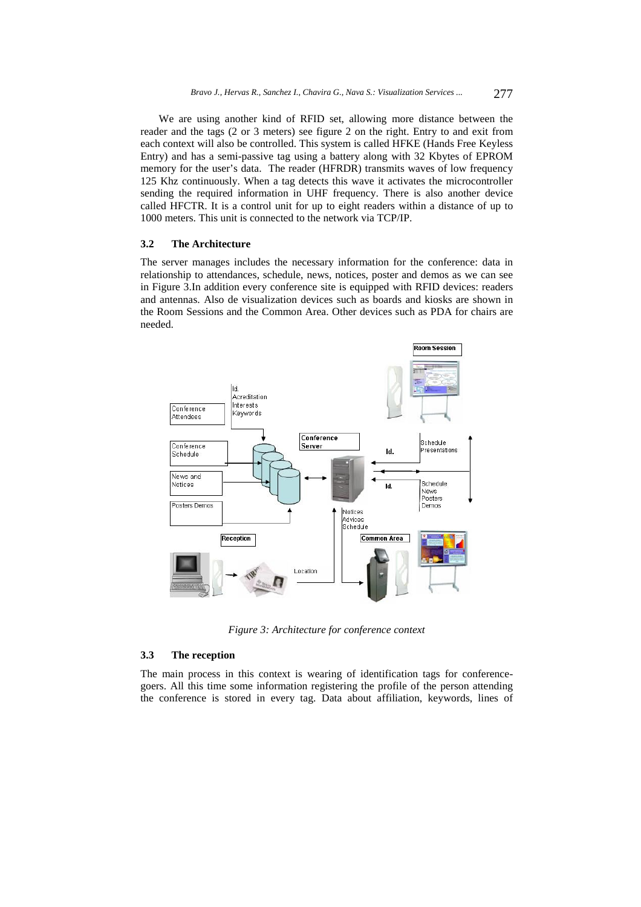We are using another kind of RFID set, allowing more distance between the reader and the tags (2 or 3 meters) see figure 2 on the right. Entry to and exit from each context will also be controlled. This system is called HFKE (Hands Free Keyless Entry) and has a semi-passive tag using a battery along with 32 Kbytes of EPROM memory for the user's data. The reader (HFRDR) transmits waves of low frequency 125 Khz continuously. When a tag detects this wave it activates the microcontroller sending the required information in UHF frequency. There is also another device called HFCTR. It is a control unit for up to eight readers within a distance of up to 1000 meters. This unit is connected to the network via TCP/IP.

#### **3.2 The Architecture**

The server manages includes the necessary information for the conference: data in relationship to attendances, schedule, news, notices, poster and demos as we can see in Figure 3.In addition every conference site is equipped with RFID devices: readers and antennas. Also de visualization devices such as boards and kiosks are shown in the Room Sessions and the Common Area. Other devices such as PDA for chairs are needed.



*Figure 3: Architecture for conference context* 

#### **3.3 The reception**

The main process in this context is wearing of identification tags for conferencegoers. All this time some information registering the profile of the person attending the conference is stored in every tag. Data about affiliation, keywords, lines of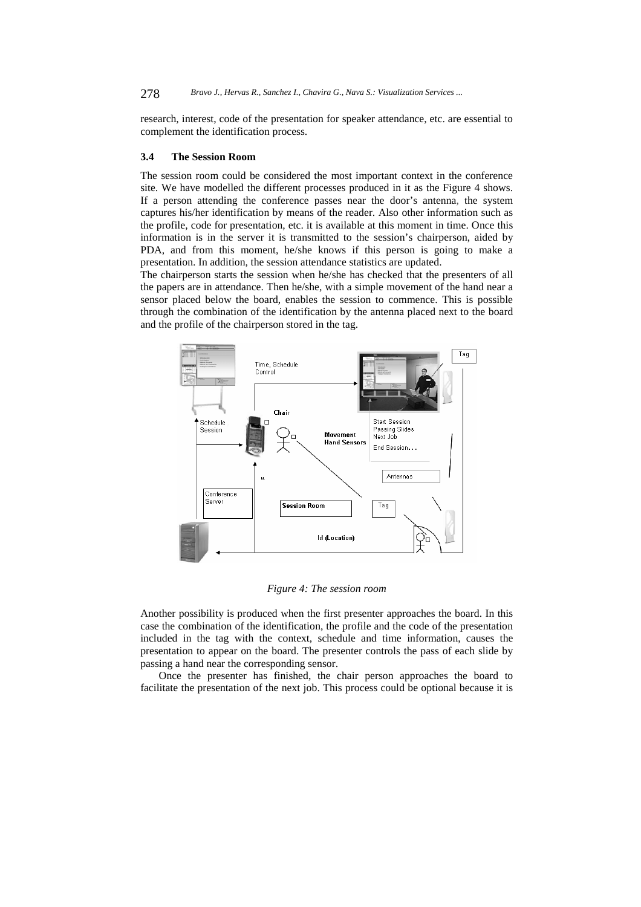research, interest, code of the presentation for speaker attendance, etc. are essential to complement the identification process.

#### **3.4 The Session Room**

The session room could be considered the most important context in the conference site. We have modelled the different processes produced in it as the Figure 4 shows. If a person attending the conference passes near the door's antenna, the system captures his/her identification by means of the reader. Also other information such as the profile, code for presentation, etc. it is available at this moment in time. Once this information is in the server it is transmitted to the session's chairperson, aided by PDA, and from this moment, he/she knows if this person is going to make a presentation. In addition, the session attendance statistics are updated.

The chairperson starts the session when he/she has checked that the presenters of all the papers are in attendance. Then he/she, with a simple movement of the hand near a sensor placed below the board, enables the session to commence. This is possible through the combination of the identification by the antenna placed next to the board and the profile of the chairperson stored in the tag.



*Figure 4: The session room* 

Another possibility is produced when the first presenter approaches the board. In this case the combination of the identification, the profile and the code of the presentation included in the tag with the context, schedule and time information, causes the presentation to appear on the board. The presenter controls the pass of each slide by passing a hand near the corresponding sensor.

Once the presenter has finished, the chair person approaches the board to facilitate the presentation of the next job. This process could be optional because it is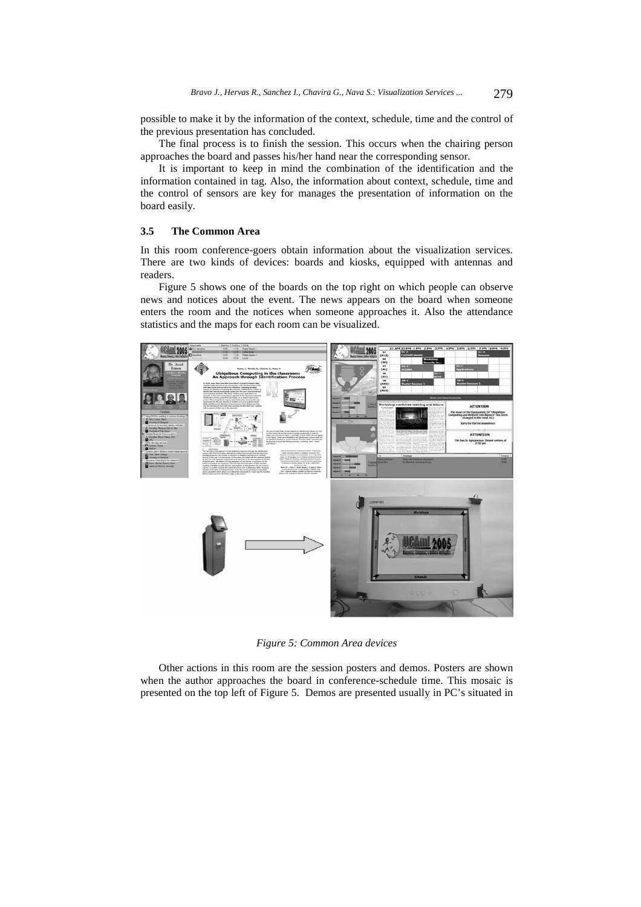possible to make it by the information of the context, schedule, time and the control of the previous presentation has concluded.

The final process is to finish the session. This occurs when the chairing person approaches the board and passes his/her hand near the corresponding sensor.

It is important to keep in mind the combination of the identification and the information contained in tag. Also, the information about context, schedule, time and the control of sensors are key for manages the presentation of information on the board easily.

## **3.5 The Common Area**

In this room conference-goers obtain information about the visualization services. There are two kinds of devices: boards and kiosks, equipped with antennas and readers.

Figure 5 shows one of the boards on the top right on which people can observe news and notices about the event. The news appears on the board when someone enters the room and the notices when someone approaches it. Also the attendance statistics and the maps for each room can be visualized.



*Figure 5: Common Area devices* 

Other actions in this room are the session posters and demos. Posters are shown when the author approaches the board in conference-schedule time. This mosaic is presented on the top left of Figure 5. Demos are presented usually in PC's situated in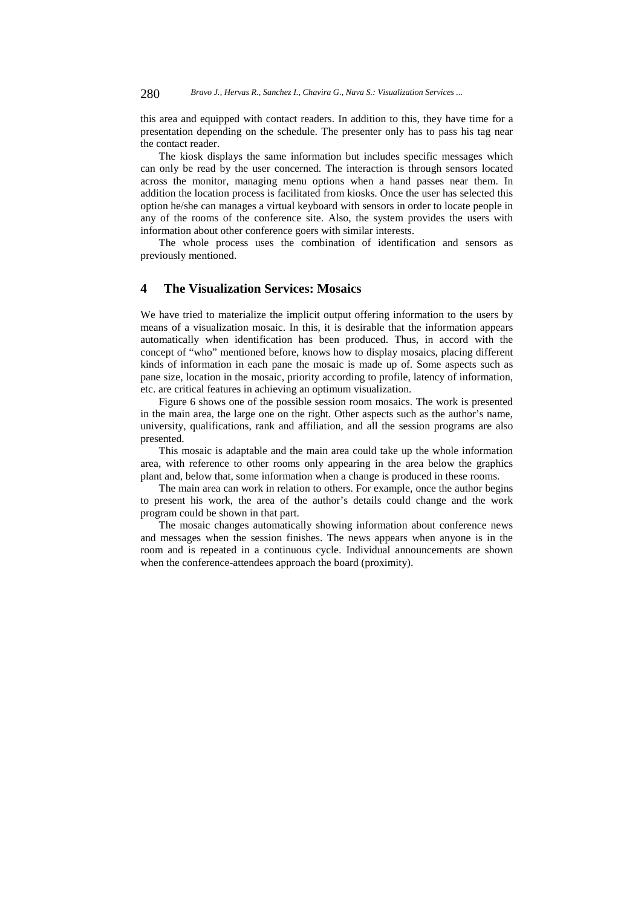this area and equipped with contact readers. In addition to this, they have time for a presentation depending on the schedule. The presenter only has to pass his tag near the contact reader.

The kiosk displays the same information but includes specific messages which can only be read by the user concerned. The interaction is through sensors located across the monitor, managing menu options when a hand passes near them. In addition the location process is facilitated from kiosks. Once the user has selected this option he/she can manages a virtual keyboard with sensors in order to locate people in any of the rooms of the conference site. Also, the system provides the users with information about other conference goers with similar interests.

The whole process uses the combination of identification and sensors as previously mentioned.

# **4 The Visualization Services: Mosaics**

We have tried to materialize the implicit output offering information to the users by means of a visualization mosaic. In this, it is desirable that the information appears automatically when identification has been produced. Thus, in accord with the concept of "who" mentioned before, knows how to display mosaics, placing different kinds of information in each pane the mosaic is made up of. Some aspects such as pane size, location in the mosaic, priority according to profile, latency of information, etc. are critical features in achieving an optimum visualization.

Figure 6 shows one of the possible session room mosaics. The work is presented in the main area, the large one on the right. Other aspects such as the author's name, university, qualifications, rank and affiliation, and all the session programs are also presented.

This mosaic is adaptable and the main area could take up the whole information area, with reference to other rooms only appearing in the area below the graphics plant and, below that, some information when a change is produced in these rooms.

The main area can work in relation to others. For example, once the author begins to present his work, the area of the author's details could change and the work program could be shown in that part.

The mosaic changes automatically showing information about conference news and messages when the session finishes. The news appears when anyone is in the room and is repeated in a continuous cycle. Individual announcements are shown when the conference-attendees approach the board (proximity).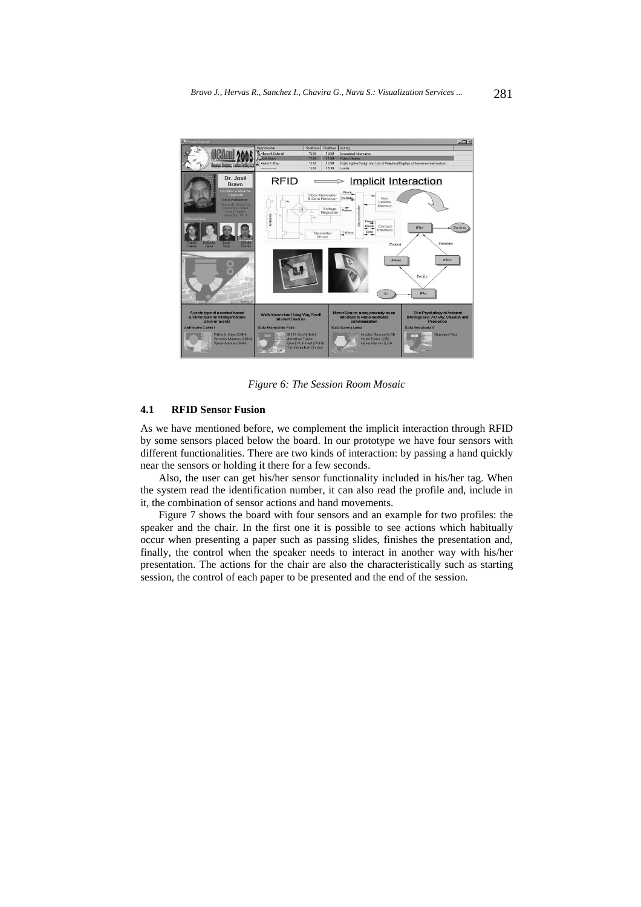

*Figure 6: The Session Room Mosaic* 

## **4.1 RFID Sensor Fusion**

As we have mentioned before, we complement the implicit interaction through RFID by some sensors placed below the board. In our prototype we have four sensors with different functionalities. There are two kinds of interaction: by passing a hand quickly near the sensors or holding it there for a few seconds.

Also, the user can get his/her sensor functionality included in his/her tag. When the system read the identification number, it can also read the profile and, include in it, the combination of sensor actions and hand movements.

Figure 7 shows the board with four sensors and an example for two profiles: the speaker and the chair. In the first one it is possible to see actions which habitually occur when presenting a paper such as passing slides, finishes the presentation and, finally, the control when the speaker needs to interact in another way with his/her presentation. The actions for the chair are also the characteristically such as starting session, the control of each paper to be presented and the end of the session.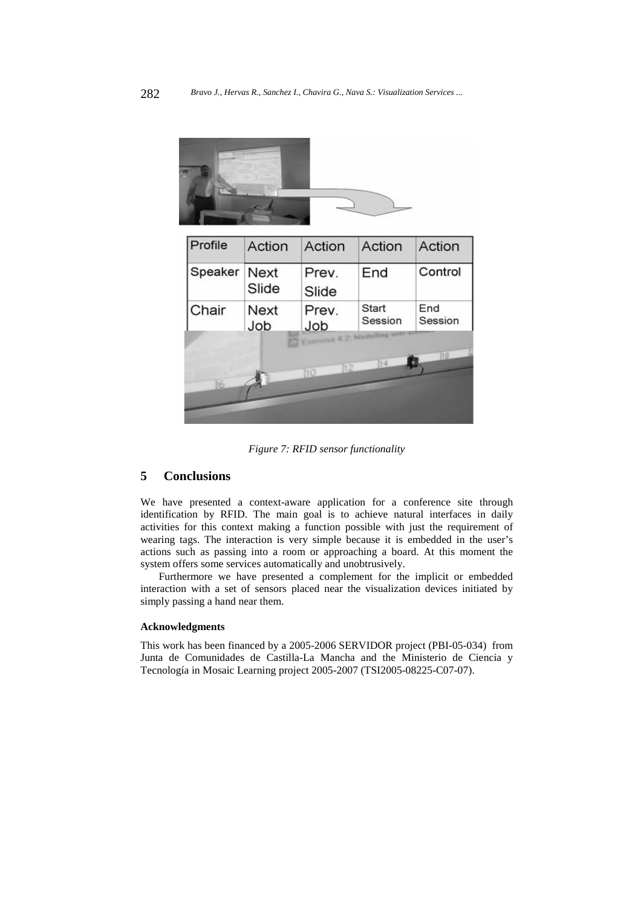

*Figure 7: RFID sensor functionality* 

# **5 Conclusions**

We have presented a context-aware application for a conference site through identification by RFID. The main goal is to achieve natural interfaces in daily activities for this context making a function possible with just the requirement of wearing tags. The interaction is very simple because it is embedded in the user's actions such as passing into a room or approaching a board. At this moment the system offers some services automatically and unobtrusively.

Furthermore we have presented a complement for the implicit or embedded interaction with a set of sensors placed near the visualization devices initiated by simply passing a hand near them.

#### **Acknowledgments**

This work has been financed by a 2005-2006 SERVIDOR project (PBI-05-034) from Junta de Comunidades de Castilla-La Mancha and the Ministerio de Ciencia y Tecnología in Mosaic Learning project 2005-2007 (TSI2005-08225-C07-07).